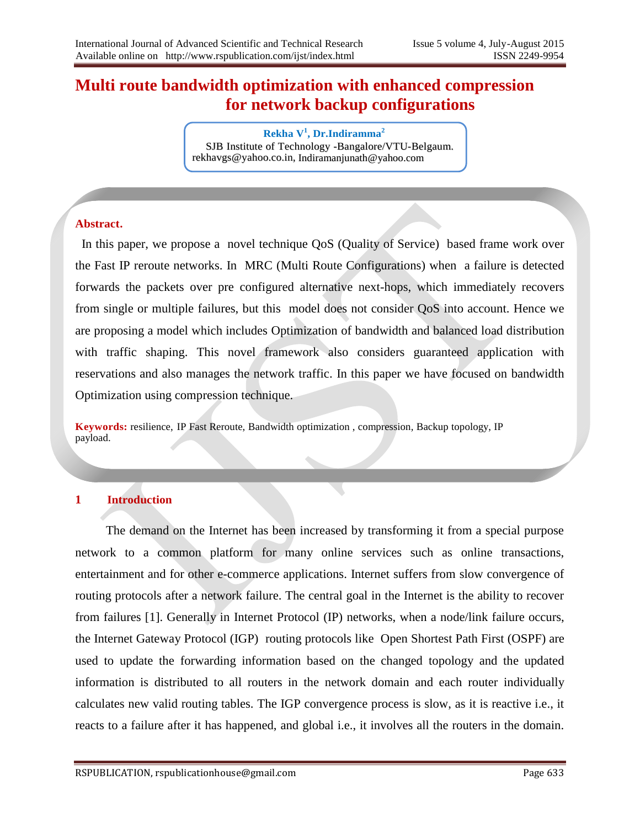# **Multi route bandwidth optimization with enhanced compression for network backup configurations**

**Rekha V<sup>1</sup> , Dr.Indiramma<sup>2</sup>** SJB Institute of Technology -Bangalore/VTU-Belgaum. rekhavgs@yahoo.co.in, Indiramanjunath@yahoo.com

#### **Abstract.**

 In this paper, we propose a novel technique QoS (Quality of Service) based frame work over the Fast IP reroute networks. In MRC (Multi Route Configurations) when a failure is detected forwards the packets over pre configured alternative next-hops, which immediately recovers from single or multiple failures, but this model does not consider QoS into account. Hence we are proposing a model which includes Optimization of bandwidth and balanced load distribution with traffic shaping. This novel framework also considers guaranteed application with reservations and also manages the network traffic. In this paper we have focused on bandwidth Optimization using compression technique.

**Keywords:** resilience, IP Fast Reroute, Bandwidth optimization , compression*,* Backup topology, IP payload.

#### **1 Introduction**

 The demand on the Internet has been increased by transforming it from a special purpose network to a common platform for many online services such as online transactions, entertainment and for other e-commerce applications. Internet suffers from slow convergence of routing protocols after a network failure. The central goal in the Internet is the ability to recover from failures [1]. Generally in Internet Protocol (IP) networks, when a node/link failure occurs, the Internet Gateway Protocol (IGP) routing protocols like Open Shortest Path First (OSPF) are used to update the forwarding information based on the changed topology and the updated information is distributed to all routers in the network domain and each router individually calculates new valid routing tables. The IGP convergence process is slow, as it is reactive i.e., it reacts to a failure after it has happened, and global i.e., it involves all the routers in the domain.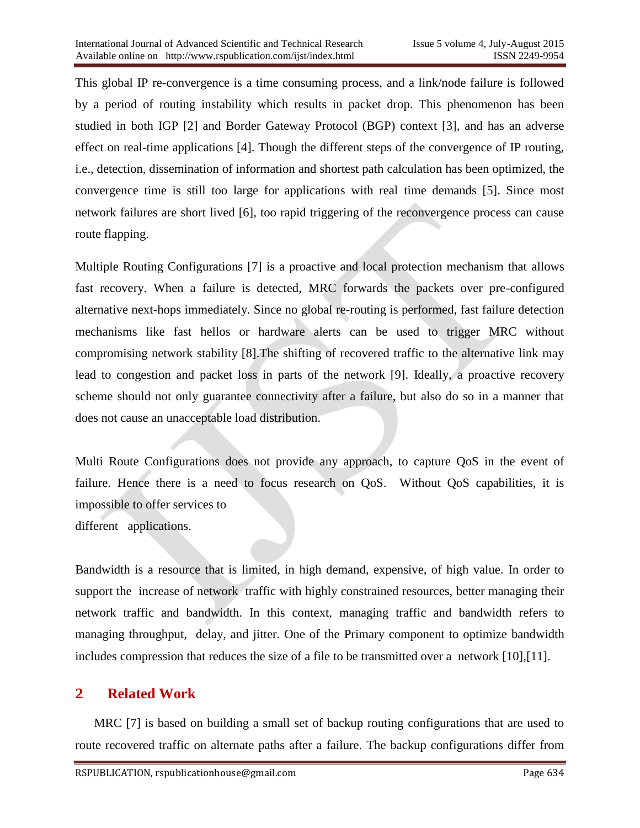This global IP re-convergence is a time consuming process, and a link/node failure is followed by a period of routing instability which results in packet drop. This phenomenon has been studied in both IGP [2] and Border Gateway Protocol (BGP) context [3], and has an adverse effect on real-time applications [4]. Though the different steps of the convergence of IP routing, i.e., detection, dissemination of information and shortest path calculation has been optimized, the convergence time is still too large for applications with real time demands [5]. Since most network failures are short lived [6], too rapid triggering of the reconvergence process can cause route flapping.

Multiple Routing Configurations [7] is a proactive and local protection mechanism that allows fast recovery. When a failure is detected, MRC forwards the packets over pre-configured alternative next-hops immediately. Since no global re-routing is performed, fast failure detection mechanisms like fast hellos or hardware alerts can be used to trigger MRC without compromising network stability [8].The shifting of recovered traffic to the alternative link may lead to congestion and packet loss in parts of the network [9]. Ideally, a proactive recovery scheme should not only guarantee connectivity after a failure, but also do so in a manner that does not cause an unacceptable load distribution.

Multi Route Configurations does not provide any approach, to capture QoS in the event of failure. Hence there is a need to focus research on QoS. Without QoS capabilities, it is impossible to offer services to different applications.

Bandwidth is a resource that is limited, in high demand, expensive, of high value. In order to support the increase of network traffic with highly constrained resources, better managing their network traffic and bandwidth. In this context, managing traffic and bandwidth refers to managing throughput, delay, and jitter. One of the Primary component to optimize bandwidth includes compression that reduces the size of a file to be transmitted over a network [10],[11].

## **2 Related Work**

 MRC [7] is based on building a small set of backup routing configurations that are used to route recovered traffic on alternate paths after a failure. The backup configurations differ from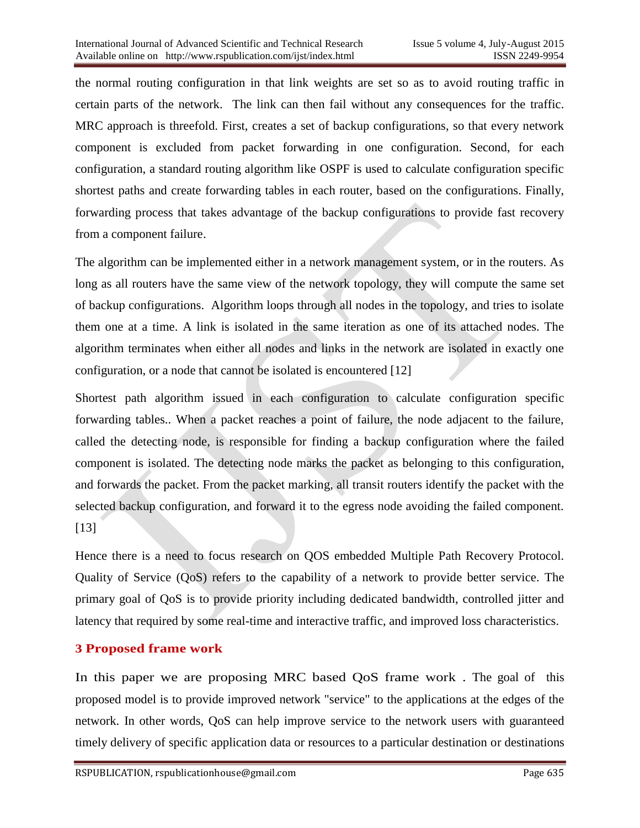the normal routing configuration in that link weights are set so as to avoid routing traffic in certain parts of the network. The link can then fail without any consequences for the traffic. MRC approach is threefold. First, creates a set of backup configurations, so that every network component is excluded from packet forwarding in one configuration. Second, for each configuration, a standard routing algorithm like OSPF is used to calculate configuration specific shortest paths and create forwarding tables in each router, based on the configurations. Finally, forwarding process that takes advantage of the backup configurations to provide fast recovery from a component failure.

The algorithm can be implemented either in a network management system, or in the routers. As long as all routers have the same view of the network topology, they will compute the same set of backup configurations. Algorithm loops through all nodes in the topology, and tries to isolate them one at a time. A link is isolated in the same iteration as one of its attached nodes. The algorithm terminates when either all nodes and links in the network are isolated in exactly one configuration, or a node that cannot be isolated is encountered [12]

Shortest path algorithm issued in each configuration to calculate configuration specific forwarding tables.. When a packet reaches a point of failure, the node adjacent to the failure, called the detecting node, is responsible for finding a backup configuration where the failed component is isolated. The detecting node marks the packet as belonging to this configuration, and forwards the packet. From the packet marking, all transit routers identify the packet with the selected backup configuration, and forward it to the egress node avoiding the failed component. [13]

Hence there is a need to focus research on QOS embedded Multiple Path Recovery Protocol. Quality of Service (QoS) refers to the capability of a network to provide better service. The primary goal of QoS is to provide priority including dedicated bandwidth, controlled jitter and latency that required by some real-time and interactive traffic, and improved loss characteristics.

## **3 Proposed frame work**

In this paper we are proposing MRC based QoS frame work . The goal of this proposed model is to provide improved network "service" to the applications at the edges of the network. In other words, QoS can help improve service to the network users with guaranteed timely delivery of specific application data or resources to a particular destination or destinations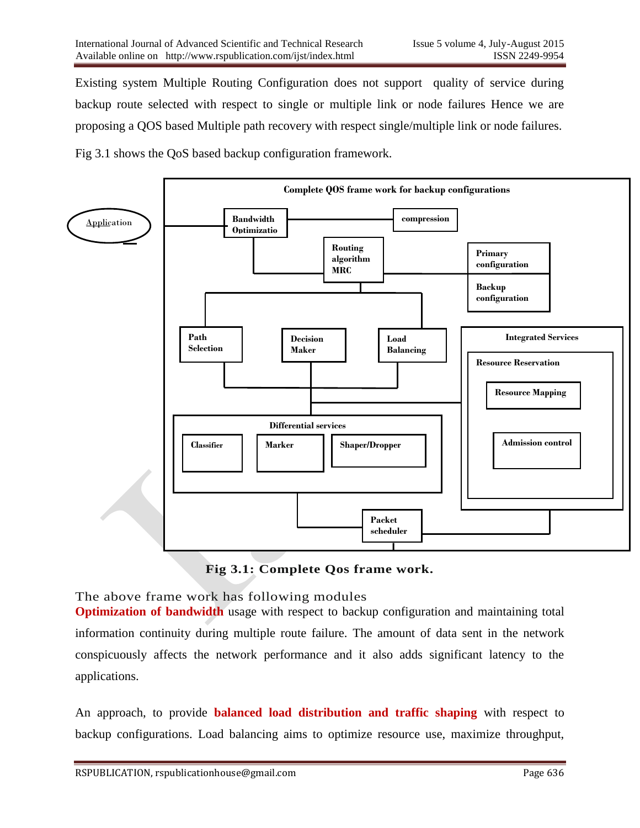Existing system Multiple Routing Configuration does not support quality of service during backup route selected with respect to single or multiple link or node failures Hence we are proposing a QOS based Multiple path recovery with respect single/multiple link or node failures.

Fig 3.1 shows the QoS based backup configuration framework.



**Fig 3.1: Complete Qos frame work.**

The above frame work has following modules

**Optimization of bandwidth** usage with respect to backup configuration and maintaining total information continuity during multiple route failure. The amount of data sent in the network conspicuously affects the network performance and it also adds significant latency to the applications.

An approach, to provide **balanced load distribution and [traffic shaping](http://en.wikipedia.org/wiki/Traffic_shaping)** with respect to backup configurations. Load balancing aims to optimize resource use, maximize throughput,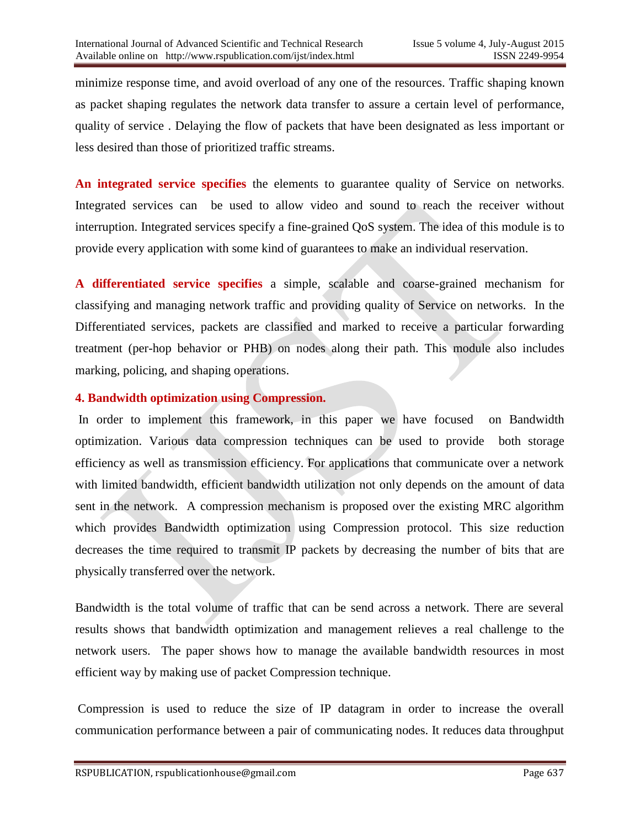minimize response time, and avoid overload of any one of the resources. Traffic shaping known as packet shaping regulates the network data transfer to assure a certain level of performance, quality of service . Delaying the flow of [packets](http://searchnetworking.techtarget.com/definition/packet) that have been designated as less important or less desired than those of prioritized traffic streams.

**An integrated service specifies** the elements to guarantee quality of Service on networks. Integrated services can be used to allow video and sound to reach the receiver without interruption. Integrated services specify a fine-grained QoS system. The idea of this module is to provide every application with some kind of guarantees to make an individual reservation.

**A differentiated service specifies** a simple, [scalable](http://en.wikipedia.org/wiki/Scalable) and coarse-grained mechanism for classifying and managing network traffic and providing [quality of Service](http://en.wikipedia.org/wiki/Quality_of_service) on networks. In the Differentiated services, packets are classified and marked to receive a particular forwarding treatment (per-hop behavior or PHB) on nodes along their path. This module also includes marking, policing, and shaping operations.

## **4. Bandwidth optimization using Compression.**

In order to implement this framework, in this paper we have focused on Bandwidth optimization. Various data compression techniques can be used to provide both storage efficiency as well as transmission efficiency. For applications that communicate over a network with limited bandwidth, efficient bandwidth utilization not only depends on the amount of data sent in the network. A compression mechanism is proposed over the existing MRC algorithm which provides Bandwidth optimization using Compression protocol. This size reduction decreases the time required to transmit IP packets by decreasing the number of bits that are physically transferred over the network.

Bandwidth is the total volume of traffic that can be send across a network. There are several results shows that bandwidth optimization and management relieves a real challenge to the network users. The paper shows how to manage the available bandwidth resources in most efficient way by making use of packet Compression technique.

Compression is used to reduce the size of IP datagram in order to increase the overall communication performance between a pair of communicating nodes. It reduces data throughput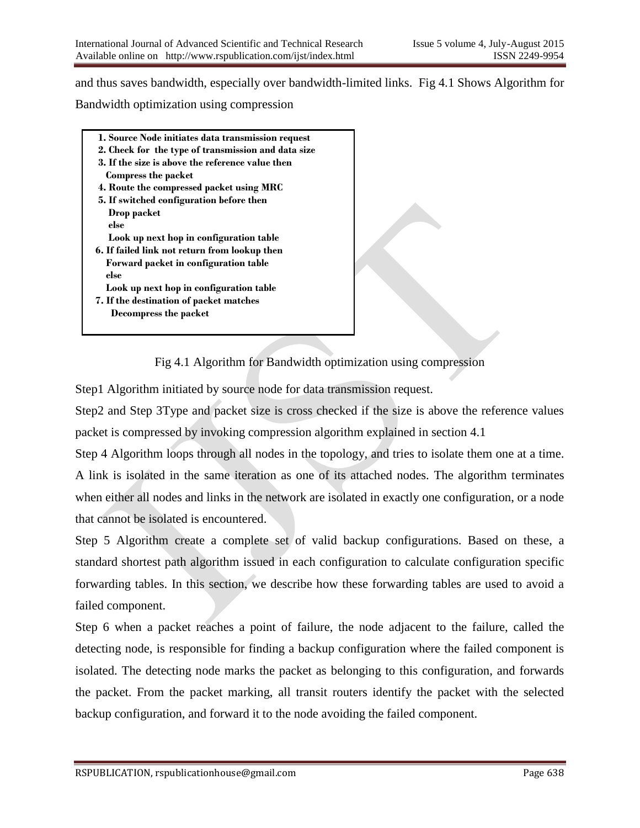and thus saves bandwidth, especially over bandwidth-limited links. Fig 4.1 Shows Algorithm for Bandwidth optimization using compression

- **1. Source Node initiates data transmission request**
- **2. Check for the type of transmission and data size 3. If the size is above the reference value then**
- **Compress the packet**
- **4. Route the compressed packet using MRC**
- **5. If switched configuration before then Drop packet else** 
	- **Look up next hop in configuration table**
- **6. If failed link not return from lookup then Forward packet in configuration table else**
- **Look up next hop in configuration table**
- **7. If the destination of packet matches Decompress the packet**

Fig 4.1 Algorithm for Bandwidth optimization using compression

Step1 Algorithm initiated by source node for data transmission request.

Step2 and Step 3Type and packet size is cross checked if the size is above the reference values packet is compressed by invoking compression algorithm explained in section 4.1

Step 4 Algorithm loops through all nodes in the topology, and tries to isolate them one at a time. A link is isolated in the same iteration as one of its attached nodes. The algorithm terminates when either all nodes and links in the network are isolated in exactly one configuration, or a node that cannot be isolated is encountered.

Step 5 Algorithm create a complete set of valid backup configurations. Based on these, a standard shortest path algorithm issued in each configuration to calculate configuration specific forwarding tables. In this section, we describe how these forwarding tables are used to avoid a failed component.

Step 6 when a packet reaches a point of failure, the node adjacent to the failure, called the detecting node, is responsible for finding a backup configuration where the failed component is isolated. The detecting node marks the packet as belonging to this configuration, and forwards the packet. From the packet marking, all transit routers identify the packet with the selected backup configuration, and forward it to the node avoiding the failed component.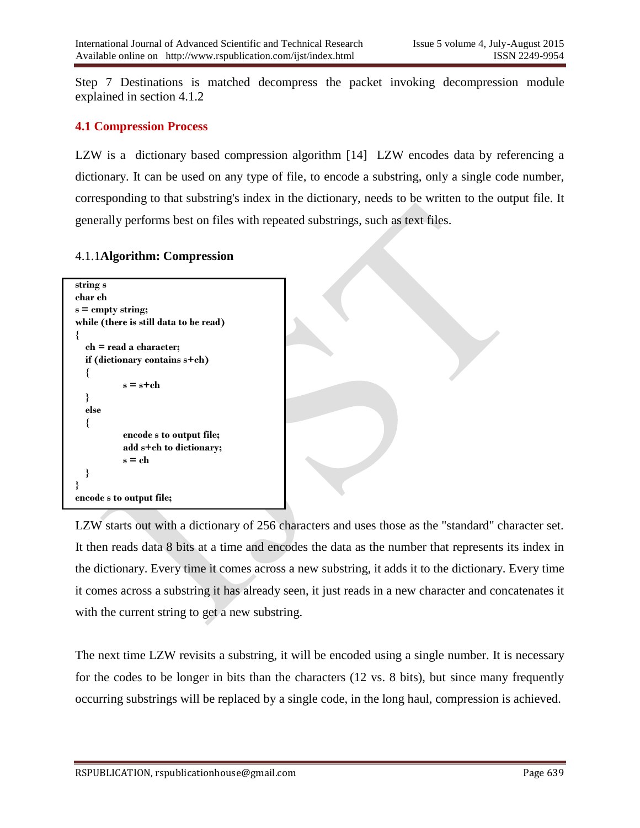Step 7 Destinations is matched decompress the packet invoking decompression module explained in section 4.1.2

#### **4.1 Compression Process**

LZW is a dictionary based compression algorithm [14] LZW encodes data by referencing a dictionary. It can be used on any type of file, to encode a substring, only a single code number, corresponding to that substring's index in the dictionary, needs to be written to the output file. It generally performs best on files with repeated substrings, such as text files.

#### 4.1.1**Algorithm: Compression**



LZW starts out with a dictionary of 256 characters and uses those as the "standard" character set. It then reads data 8 bits at a time and encodes the data as the number that represents its index in the dictionary. Every time it comes across a new substring, it adds it to the dictionary. Every time it comes across a substring it has already seen, it just reads in a new character and concatenates it with the current string to get a new substring.

The next time LZW revisits a substring, it will be encoded using a single number. It is necessary for the codes to be longer in bits than the characters (12 vs. 8 bits), but since many frequently occurring substrings will be replaced by a single code, in the long haul, compression is achieved.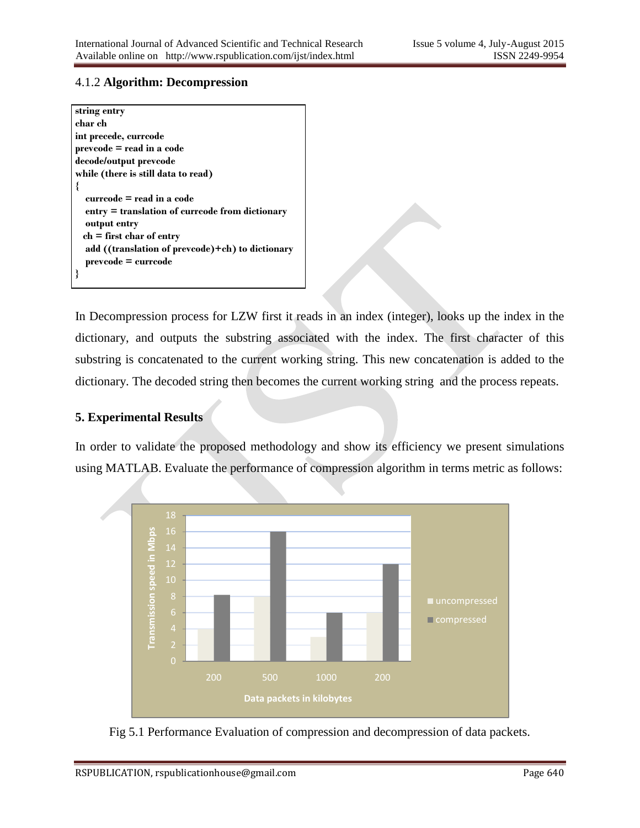#### 4.1.2 **Algorithm: Decompression**

| string entry                                     |
|--------------------------------------------------|
| char ch                                          |
| int precede, currcode                            |
| prevcode = read in a code                        |
| decode/output prevcode                           |
| while (there is still data to read)              |
|                                                  |
| currcode = read in a code                        |
| entry = translation of currcode from dictionary  |
| output entry                                     |
| $ch = first char of entry$                       |
| add ((translation of prevcode)+ch) to dictionary |
| $prevcode = curroode$                            |
|                                                  |

In Decompression process for LZW first it reads in an index (integer), looks up the index in the dictionary, and outputs the substring associated with the index. The first character of this substring is concatenated to the current working string. This new concatenation is added to the dictionary. The decoded string then becomes the current working string and the process repeats.

### **5. Experimental Results**

In order to validate the proposed methodology and show its efficiency we present simulations using MATLAB. Evaluate the performance of compression algorithm in terms metric as follows:



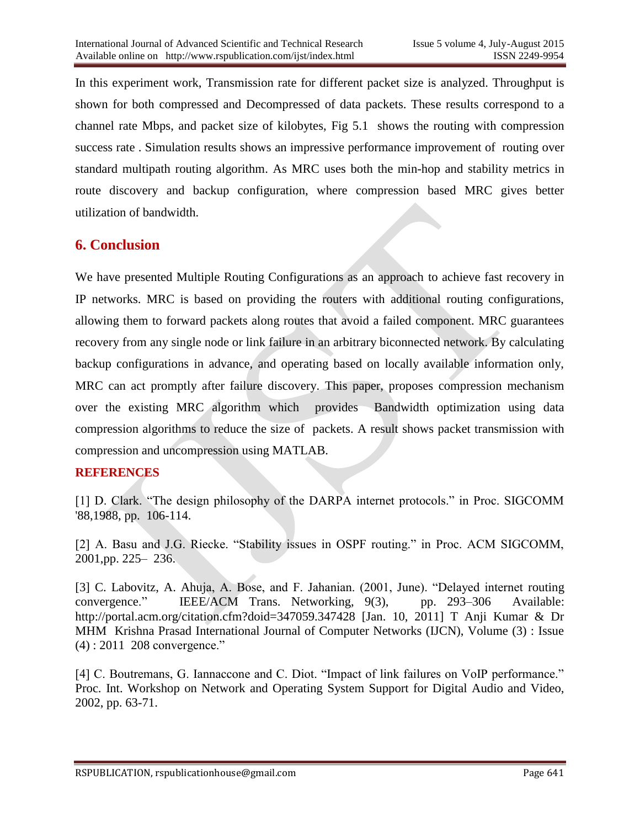In this experiment work, Transmission rate for different packet size is analyzed. Throughput is shown for both compressed and Decompressed of data packets. These results correspond to a channel rate Mbps, and packet size of kilobytes, Fig 5.1 shows the routing with compression success rate . Simulation results shows an impressive performance improvement of routing over standard multipath routing algorithm. As MRC uses both the min-hop and stability metrics in route discovery and backup configuration, where compression based MRC gives better utilization of bandwidth.

## **6. Conclusion**

We have presented Multiple Routing Configurations as an approach to achieve fast recovery in IP networks. MRC is based on providing the routers with additional routing configurations, allowing them to forward packets along routes that avoid a failed component. MRC guarantees recovery from any single node or link failure in an arbitrary biconnected network. By calculating backup configurations in advance, and operating based on locally available information only, MRC can act promptly after failure discovery. This paper, proposes compression mechanism over the existing MRC algorithm which provides Bandwidth optimization using data compression algorithms to reduce the size of packets. A result shows packet transmission with compression and uncompression using MATLAB.

### **REFERENCES**

[1] D. Clark. "The design philosophy of the DARPA internet protocols." in Proc. SIGCOMM '88,1988, pp. 106-114.

[2] A. Basu and J.G. Riecke. "Stability issues in OSPF routing." in Proc. ACM SIGCOMM, 2001,pp. 225– 236.

[3] C. Labovitz, A. Ahuja, A. Bose, and F. Jahanian. (2001, June). "Delayed internet routing convergence." IEEE/ACM Trans. Networking, 9(3), pp. 293–306 Available: http://portal.acm.org/citation.cfm?doid=347059.347428 [Jan. 10, 2011] T Anji Kumar & Dr MHM Krishna Prasad International Journal of Computer Networks (IJCN), Volume (3) : Issue (4) : 2011 208 convergence."

[4] C. Boutremans, G. Iannaccone and C. Diot. "Impact of link failures on VoIP performance." Proc. Int. Workshop on Network and Operating System Support for Digital Audio and Video, 2002, pp. 63-71.